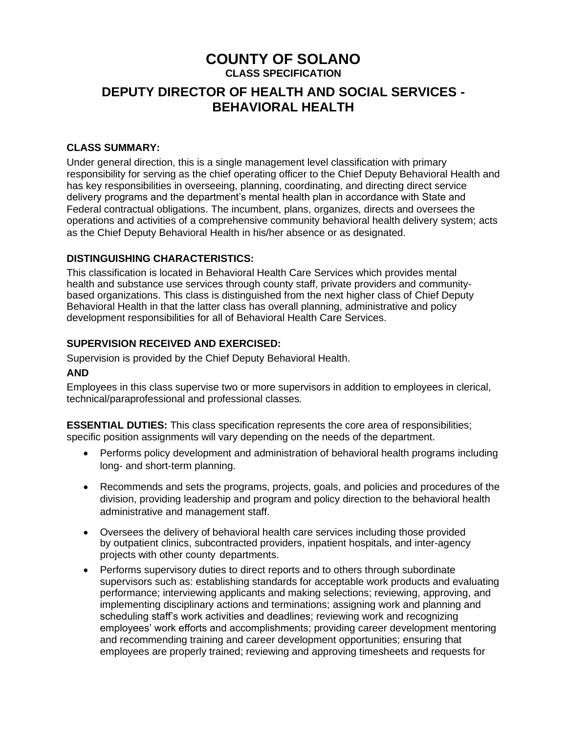# **COUNTY OF SOLANO**

**CLASS SPECIFICATION**

# **DEPUTY DIRECTOR OF HEALTH AND SOCIAL SERVICES - BEHAVIORAL HEALTH**

#### **CLASS SUMMARY:**

Under general direction, this is a single management level classification with primary responsibility for serving as the chief operating officer to the Chief Deputy Behavioral Health and has key responsibilities in overseeing, planning, coordinating, and directing direct service delivery programs and the department's mental health plan in accordance with State and Federal contractual obligations. The incumbent, plans, organizes, directs and oversees the operations and activities of a comprehensive community behavioral health delivery system; acts as the Chief Deputy Behavioral Health in his/her absence or as designated.

# **DISTINGUISHING CHARACTERISTICS:**

This classification is located in Behavioral Health Care Services which provides mental health and substance use services through county staff, private providers and communitybased organizations. This class is distinguished from the next higher class of Chief Deputy Behavioral Health in that the latter class has overall planning, administrative and policy development responsibilities for all of Behavioral Health Care Services.

# **SUPERVISION RECEIVED AND EXERCISED:**

Supervision is provided by the Chief Deputy Behavioral Health.

#### **AND**

Employees in this class supervise two or more supervisors in addition to employees in clerical, technical/paraprofessional and professional classes*.*

**ESSENTIAL DUTIES:** This class specification represents the core area of responsibilities; specific position assignments will vary depending on the needs of the department.

- Performs policy development and administration of behavioral health programs including long- and short-term planning.
- Recommends and sets the programs, projects, goals, and policies and procedures of the division, providing leadership and program and policy direction to the behavioral health administrative and management staff.
- Oversees the delivery of behavioral health care services including those provided by outpatient clinics, subcontracted providers, inpatient hospitals, and inter-agency projects with other county departments.
- Performs supervisory duties to direct reports and to others through subordinate supervisors such as: establishing standards for acceptable work products and evaluating performance; interviewing applicants and making selections; reviewing, approving, and implementing disciplinary actions and terminations; assigning work and planning and scheduling staff's work activities and deadlines; reviewing work and recognizing employees' work efforts and accomplishments; providing career development mentoring and recommending training and career development opportunities; ensuring that employees are properly trained; reviewing and approving timesheets and requests for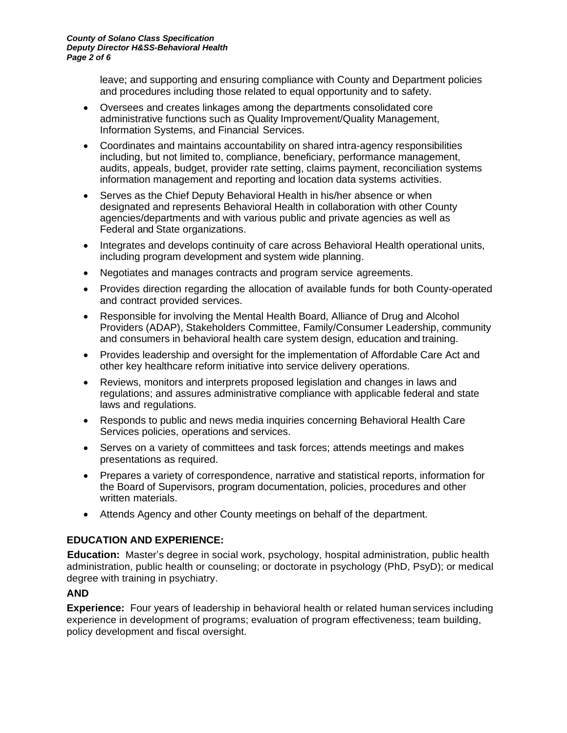leave; and supporting and ensuring compliance with County and Department policies and procedures including those related to equal opportunity and to safety.

- Oversees and creates linkages among the departments consolidated core administrative functions such as Quality Improvement/Quality Management, Information Systems, and Financial Services.
- Coordinates and maintains accountability on shared intra-agency responsibilities including, but not limited to, compliance, beneficiary, performance management, audits, appeals, budget, provider rate setting, claims payment, reconciliation systems information management and reporting and location data systems activities.
- Serves as the Chief Deputy Behavioral Health in his/her absence or when designated and represents Behavioral Health in collaboration with other County agencies/departments and with various public and private agencies as well as Federal and State organizations.
- Integrates and develops continuity of care across Behavioral Health operational units, including program development and system wide planning.
- Negotiates and manages contracts and program service agreements.
- Provides direction regarding the allocation of available funds for both County-operated and contract provided services.
- Responsible for involving the Mental Health Board, Alliance of Drug and Alcohol Providers (ADAP), Stakeholders Committee, Family/Consumer Leadership, community and consumers in behavioral health care system design, education and training.
- Provides leadership and oversight for the implementation of Affordable Care Act and other key healthcare reform initiative into service delivery operations.
- Reviews, monitors and interprets proposed legislation and changes in laws and regulations; and assures administrative compliance with applicable federal and state laws and regulations.
- Responds to public and news media inquiries concerning Behavioral Health Care Services policies, operations and services.
- Serves on a variety of committees and task forces; attends meetings and makes presentations as required.
- Prepares a variety of correspondence, narrative and statistical reports, information for the Board of Supervisors, program documentation, policies, procedures and other written materials.
- Attends Agency and other County meetings on behalf of the department.

# **EDUCATION AND EXPERIENCE:**

**Education:** Master's degree in social work, psychology, hospital administration, public health administration, public health or counseling; or doctorate in psychology (PhD, PsyD); or medical degree with training in psychiatry.

#### **AND**

**Experience:** Four years of leadership in behavioral health or related human services including experience in development of programs; evaluation of program effectiveness; team building, policy development and fiscal oversight.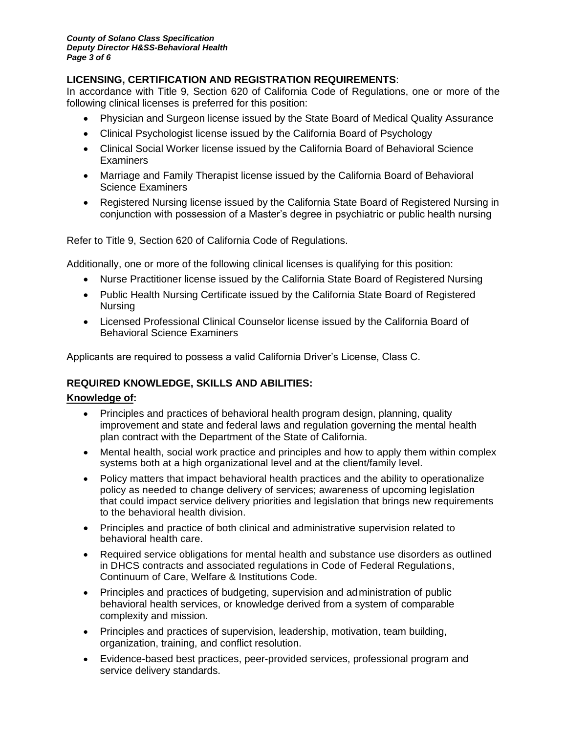# **LICENSING, CERTIFICATION AND REGISTRATION REQUIREMENTS**:

In accordance with Title 9, Section 620 of California Code of Regulations, one or more of the following clinical licenses is preferred for this position:

- Physician and Surgeon license issued by the State Board of Medical Quality Assurance
- Clinical Psychologist license issued by the California Board of Psychology
- Clinical Social Worker license issued by the California Board of Behavioral Science **Examiners**
- Marriage and Family Therapist license issued by the California Board of Behavioral Science Examiners
- Registered Nursing license issued by the California State Board of Registered Nursing in conjunction with possession of a Master's degree in psychiatric or public health nursing

Refer to Title 9, Section 620 of California Code of Regulations.

Additionally, one or more of the following clinical licenses is qualifying for this position:

- Nurse Practitioner license issued by the California State Board of Registered Nursing
- Public Health Nursing Certificate issued by the California State Board of Registered Nursing
- Licensed Professional Clinical Counselor license issued by the California Board of Behavioral Science Examiners

Applicants are required to possess a valid California Driver's License, Class C.

#### **REQUIRED KNOWLEDGE, SKILLS AND ABILITIES:**

#### **Knowledge of:**

- Principles and practices of behavioral health program design, planning, quality improvement and state and federal laws and regulation governing the mental health plan contract with the Department of the State of California.
- Mental health, social work practice and principles and how to apply them within complex systems both at a high organizational level and at the client/family level.
- Policy matters that impact behavioral health practices and the ability to operationalize policy as needed to change delivery of services; awareness of upcoming legislation that could impact service delivery priorities and legislation that brings new requirements to the behavioral health division.
- Principles and practice of both clinical and administrative supervision related to behavioral health care.
- Required service obligations for mental health and substance use disorders as outlined in DHCS contracts and associated regulations in Code of Federal Regulations, Continuum of Care, Welfare & Institutions Code.
- Principles and practices of budgeting, supervision and administration of public behavioral health services, or knowledge derived from a system of comparable complexity and mission.
- Principles and practices of supervision, leadership, motivation, team building, organization, training, and conflict resolution.
- Evidence-based best practices, peer-provided services, professional program and service delivery standards.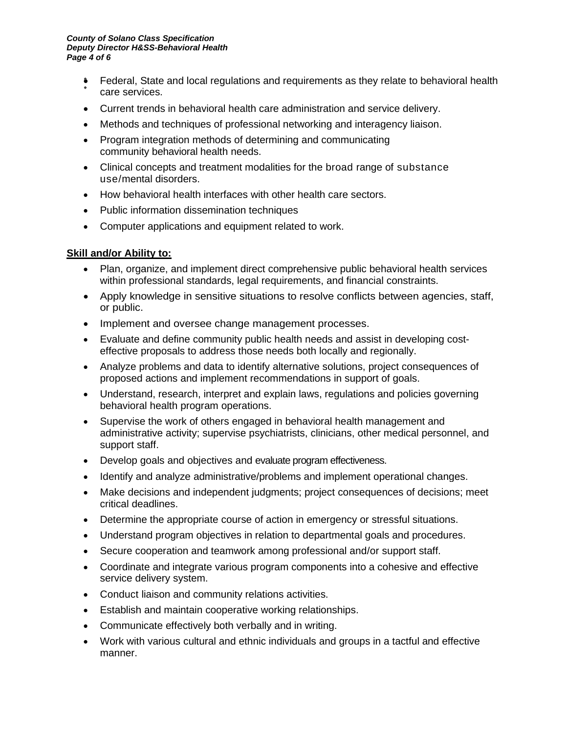- Federal, State and local regulations and requirements as they relate to behavioral health care services.
- Current trends in behavioral health care administration and service delivery.
- Methods and techniques of professional networking and interagency liaison.
- Program integration methods of determining and communicating community behavioral health needs.
- Clinical concepts and treatment modalities for the broad range of substance use/mental disorders.
- How behavioral health interfaces with other health care sectors.
- Public information dissemination techniques
- Computer applications and equipment related to work.

# **Skill and/or Ability to:**

- Plan, organize, and implement direct comprehensive public behavioral health services within professional standards, legal requirements, and financial constraints.
- Apply knowledge in sensitive situations to resolve conflicts between agencies, staff, or public.
- Implement and oversee change management processes.
- Evaluate and define community public health needs and assist in developing costeffective proposals to address those needs both locally and regionally.
- Analyze problems and data to identify alternative solutions, project consequences of proposed actions and implement recommendations in support of goals.
- Understand, research, interpret and explain laws, regulations and policies governing behavioral health program operations.
- Supervise the work of others engaged in behavioral health management and administrative activity; supervise psychiatrists, clinicians, other medical personnel, and support staff.
- Develop goals and objectives and evaluate program effectiveness.
- Identify and analyze administrative/problems and implement operational changes.
- Make decisions and independent judgments; project consequences of decisions; meet critical deadlines.
- Determine the appropriate course of action in emergency or stressful situations.
- Understand program objectives in relation to departmental goals and procedures.
- Secure cooperation and teamwork among professional and/or support staff.
- Coordinate and integrate various program components into a cohesive and effective service delivery system.
- Conduct liaison and community relations activities.
- Establish and maintain cooperative working relationships.
- Communicate effectively both verbally and in writing.
- Work with various cultural and ethnic individuals and groups in a tactful and effective manner.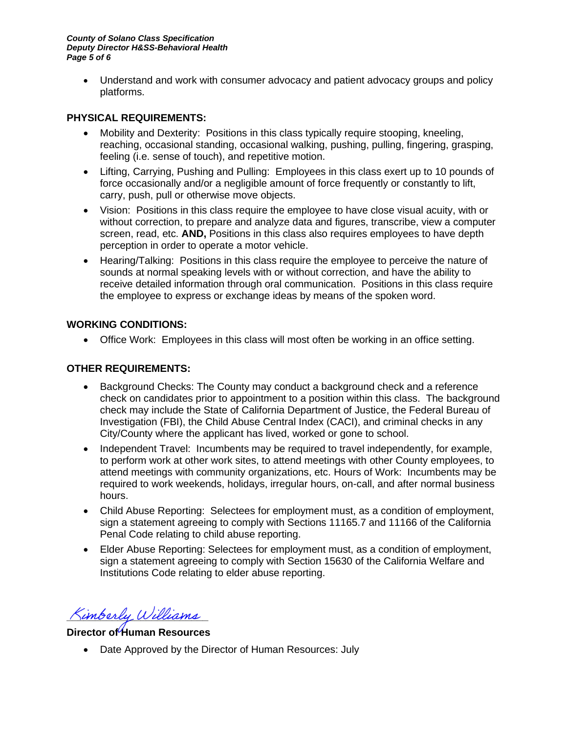• Understand and work with consumer advocacy and patient advocacy groups and policy platforms.

#### **PHYSICAL REQUIREMENTS:**

- Mobility and Dexterity: Positions in this class typically require stooping, kneeling, reaching, occasional standing, occasional walking, pushing, pulling, fingering, grasping, feeling (i.e. sense of touch), and repetitive motion.
- Lifting, Carrying, Pushing and Pulling: Employees in this class exert up to 10 pounds of force occasionally and/or a negligible amount of force frequently or constantly to lift, carry, push, pull or otherwise move objects.
- Vision: Positions in this class require the employee to have close visual acuity, with or without correction, to prepare and analyze data and figures, transcribe, view a computer screen, read, etc. **AND,** Positions in this class also requires employees to have depth perception in order to operate a motor vehicle.
- Hearing/Talking: Positions in this class require the employee to perceive the nature of sounds at normal speaking levels with or without correction, and have the ability to receive detailed information through oral communication. Positions in this class require the employee to express or exchange ideas by means of the spoken word.

# **WORKING CONDITIONS:**

• Office Work: Employees in this class will most often be working in an office setting.

#### **OTHER REQUIREMENTS:**

- Background Checks: The County may conduct a background check and a reference check on candidates prior to appointment to a position within this class. The background check may include the State of California Department of Justice, the Federal Bureau of Investigation (FBI), the Child Abuse Central Index (CACI), and criminal checks in any City/County where the applicant has lived, worked or gone to school.
- Independent Travel: Incumbents may be required to travel independently, for example, to perform work at other work sites, to attend meetings with other County employees, to attend meetings with community organizations, etc. Hours of Work: Incumbents may be required to work weekends, holidays, irregular hours, on-call, and after normal business hours.
- Child Abuse Reporting: Selectees for employment must, as a condition of employment, sign a statement agreeing to comply with Sections 11165.7 and 11166 of the California Penal Code relating to child abuse reporting.
- Elder Abuse Reporting: Selectees for employment must, as a condition of employment, sign a statement agreeing to comply with Section 15630 of the California Welfare and Institutions Code relating to elder abuse reporting.

Kimberly Williams

# **Director of Human Resources**

• Date Approved by the Director of Human Resources: July